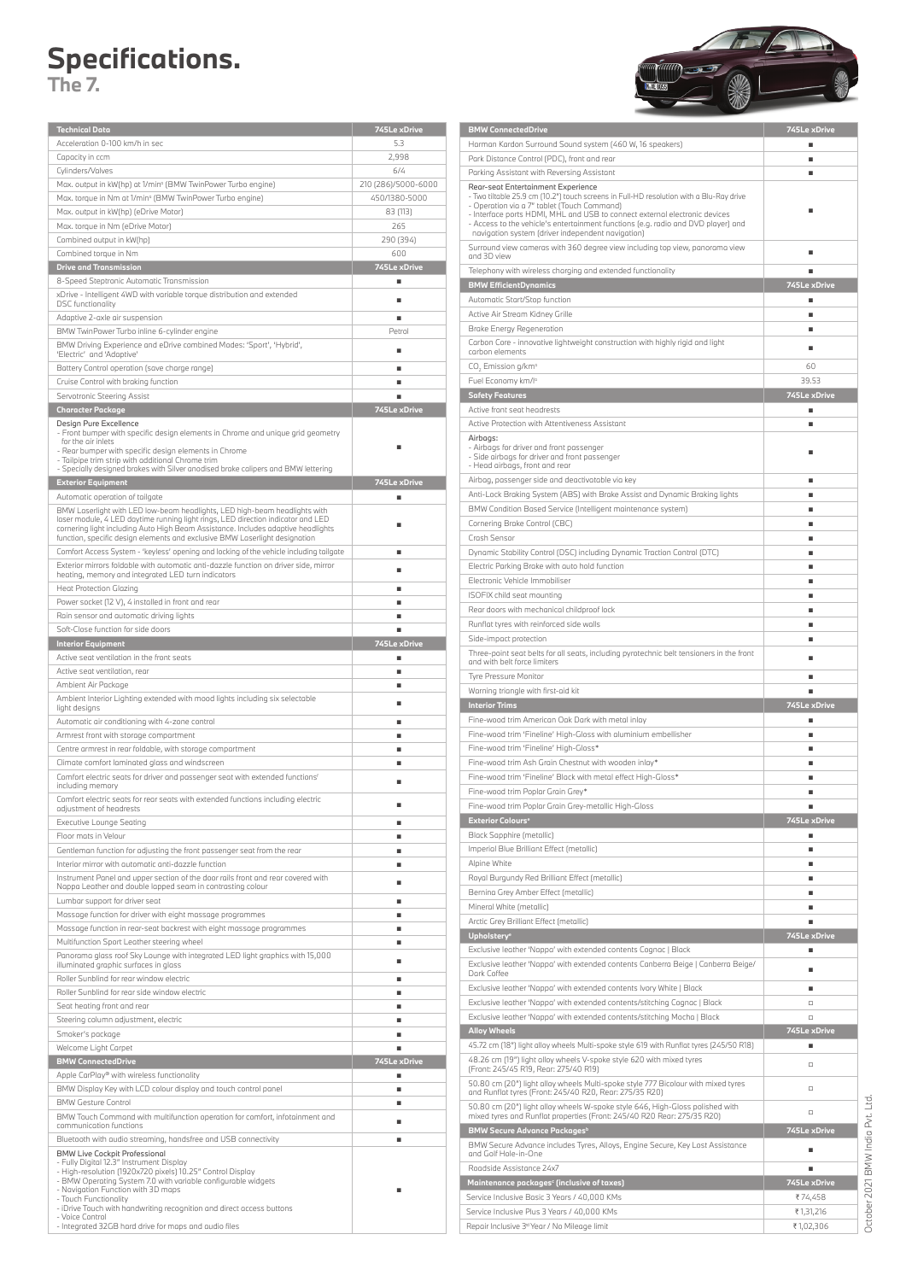## **Specifications.**

**The 7.**

| <b>Technical Data</b>                                                                                                       | 745Le xDrive        |
|-----------------------------------------------------------------------------------------------------------------------------|---------------------|
| Acceleration 0-100 km/h in sec                                                                                              | 5.3                 |
| Capacity in ccm                                                                                                             | 2,998               |
| Cylinders/Valves                                                                                                            | 6/4                 |
|                                                                                                                             |                     |
| Max. output in kW(hp) at 1/min <sup>o</sup> (BMW TwinPower Turbo engine)                                                    | 210 (286)/5000-6000 |
| Max. torque in Nm at 1/min <sup>o</sup> (BMW TwinPower Turbo engine)                                                        | 450/1380-5000       |
| Max. output in kW(hp) (eDrive Motor)                                                                                        | 83 (113)            |
| Max. torque in Nm (eDrive Motor)                                                                                            | 265                 |
| Combined output in kW(hp)                                                                                                   | 290 (394)           |
| Combined torque in Nm                                                                                                       | 600                 |
| <b>Drive and Transmission</b>                                                                                               | 745Le xDrive        |
|                                                                                                                             |                     |
| 8-Speed Steptronic Automatic Transmission                                                                                   | ٠                   |
| xDrive - Intelligent 4WD with variable torque distribution and extended                                                     | ٠                   |
| <b>DSC</b> functionality                                                                                                    |                     |
| Adaptive 2-axle air suspension                                                                                              | ٠                   |
| BMW TwinPower Turbo inline 6-cylinder engine                                                                                | Petrol              |
| BMW Driving Experience and eDrive combined Modes: 'Sport', 'Hybrid',                                                        | п                   |
| 'Electric' and 'Adaptive'                                                                                                   |                     |
| Battery Control operation (save charge range)                                                                               | ٠                   |
| Cruise Control with braking function                                                                                        | ٠                   |
| Servotronic Steering Assist                                                                                                 |                     |
| <b>Character Package</b>                                                                                                    | 745Le xDrive        |
|                                                                                                                             |                     |
| Design Pure Excellence<br>- Front bumper with specific design elements in Chrome and unique grid geometry                   |                     |
| for the air inlets                                                                                                          |                     |
| - Rear bumper with specific design elements in Chrome                                                                       | ٠                   |
| - Tailpipe trim strip with additional Chrome trim                                                                           |                     |
| - Specially designed brakes with Silver anodised brake calipers and BMW lettering                                           |                     |
| <b>Exterior Equipment</b>                                                                                                   | 745Le xDrive        |
| Automatic operation of tailgate                                                                                             | ٠                   |
| BMW Laserlight with LED low-beam headlights, LED high-beam headlights with                                                  |                     |
| laser module, 4 LED daytime running light rings, LED direction indicator and LED                                            | ٠                   |
| cornering light including Auto High Beam Assistance, Includes adaptive headlights                                           |                     |
| function, specific design elements and exclusive BMW Laserlight designation                                                 |                     |
| Comfort Access System - 'keyless' opening and locking of the vehicle including tailgate                                     | ٠                   |
| Exterior mirrors foldable with automatic anti-dazzle function on driver side, mirror                                        | ٠                   |
| heating, memory and integrated LED turn indicators                                                                          |                     |
| <b>Heat Protection Glazing</b>                                                                                              | ٠                   |
| Power socket (12 V), 4 installed in front and rear                                                                          | ٠                   |
| Rain sensor and automatic driving lights                                                                                    | ٠                   |
|                                                                                                                             |                     |
| Soft-Close function for side doors                                                                                          |                     |
| <b>Interior Equipment</b>                                                                                                   | 745Le xDrive        |
| Active seat ventilation in the front seats                                                                                  | ٠                   |
|                                                                                                                             |                     |
| Active seat ventilation, rear                                                                                               | ٠                   |
|                                                                                                                             |                     |
| Ambient Air Package                                                                                                         | ٠                   |
| Ambient Interior Lighting extended with mood lights including six selectable                                                | ٠                   |
| light designs                                                                                                               |                     |
| Automatic air conditioning with 4-zone control                                                                              | ٠                   |
| Armrest front with storage compartment                                                                                      | ٠                   |
| Centre armrest in rear foldable, with storage compartment                                                                   | ٠                   |
| Climate comfort laminated glass and windscreen                                                                              | ٠                   |
|                                                                                                                             |                     |
| Comfort electric seats for driver and passenger seat with extended functions <sup>®</sup><br>including memory               |                     |
|                                                                                                                             |                     |
| Comfort electric seats for rear seats with extended functions including electric<br>adjustment of headrests                 |                     |
|                                                                                                                             | ٠                   |
| Executive Lounge Seating                                                                                                    |                     |
| Floor mats in Velour                                                                                                        | ٠                   |
| Gentleman function for adjusting the front passenger seat from the rear                                                     | ٠                   |
| Interior mirror with automatic anti-dazzle function                                                                         | ٠                   |
| Instrument Panel and upper section of the door rails front and rear covered with                                            | ٠                   |
| Nappa Leather and double lapped seam in contrasting colour                                                                  |                     |
| Lumbar support for driver seat                                                                                              | ٠                   |
| Massage function for driver with eight massage programmes                                                                   | ٠                   |
| Massage function in rear-seat backrest with eight massage programmes                                                        | ٠                   |
|                                                                                                                             | ٠                   |
| Multifunction Sport Leather steering wheel                                                                                  |                     |
| Panorama glass roof Sky Lounge with integrated LED light graphics with 15,000                                               | ٠                   |
| illuminated graphic surfaces in glass                                                                                       |                     |
| Roller Sunblind for rear window electric                                                                                    | ٠                   |
| Roller Sunblind for rear side window electric                                                                               | ٠                   |
| Seat heating front and rear                                                                                                 | ٠                   |
| Steering column adjustment, electric                                                                                        | ٠                   |
|                                                                                                                             | ٠                   |
| Smoker's package                                                                                                            |                     |
| Welcome Light Carpet                                                                                                        | ٠                   |
| <b>BMW ConnectedDrive</b>                                                                                                   | 745Le xDrive        |
| Apple CarPlay® with wireless functionality                                                                                  | ٠                   |
| BMW Display Key with LCD colour display and touch control panel                                                             | ٠                   |
|                                                                                                                             |                     |
| <b>BMW Gesture Control</b>                                                                                                  | ٠                   |
| BMW Touch Command with multifunction operation for comfort, infotainment and                                                |                     |
| communication functions                                                                                                     |                     |
| Bluetooth with audio streaming, handsfree and USB connectivity                                                              | ٠                   |
| <b>BMW Live Cockpit Professional</b>                                                                                        |                     |
| - Fully Digital 12.3" Instrument Display                                                                                    |                     |
| - High-resolution (1920x720 pixels) 10.25" Control Display<br>- BMW Operating System 7.0 with variable configurable widgets |                     |
| - Navigation Function with 3D maps                                                                                          |                     |
| - Touch Functionality                                                                                                       |                     |
| - iDrive Touch with handwriting recognition and direct access buttons<br>- Voice Control                                    |                     |

| <b>BMW ConnectedDrive</b>                                                                                                                                       | 745Le xDrive      |
|-----------------------------------------------------------------------------------------------------------------------------------------------------------------|-------------------|
| Harman Kardon Surround Sound system (460 W, 16 speakers)                                                                                                        | ٠                 |
| Park Distance Control (PDC), front and rear                                                                                                                     | ٠                 |
| Parking Assistant with Reversing Assistant                                                                                                                      | ٠                 |
|                                                                                                                                                                 |                   |
| Rear-seat Entertainment Experience<br>- Two tiltable 25.9 cm (10.2") touch screens in Full-HD resolution with a Blu-Ray drive                                   |                   |
| - Operation via a 7" tablet (Touch Command)                                                                                                                     |                   |
| - Interface ports HDMI, MHL and USB to connect external electronic devices<br>- Access to the vehicle's entertainment functions (e.g. radio and DVD player) and |                   |
| navigation system (driver independent navigation)                                                                                                               |                   |
| Surround view cameras with 360 degree view including top view, panorama view                                                                                    |                   |
| and 3D view                                                                                                                                                     |                   |
| Telephony with wireless charging and extended functionality                                                                                                     | ٠                 |
| <b>BMW EfficientDynamics</b>                                                                                                                                    | 745Le xDrive      |
| Automatic Start/Stop function                                                                                                                                   | ٠                 |
|                                                                                                                                                                 |                   |
| Active Air Stream Kidney Grille                                                                                                                                 | ٠                 |
| <b>Brake Energy Regeneration</b>                                                                                                                                | ٠                 |
| Carbon Core - innovative lightweight construction with highly rigid and light                                                                                   | п                 |
| carbon elements                                                                                                                                                 |                   |
| CO <sub>2</sub> Emission g/km <sup>o</sup>                                                                                                                      | 60                |
| Fuel Economy km/l <sup>o</sup>                                                                                                                                  | 39.53             |
| <b>Safety Features</b>                                                                                                                                          | 745Le xDrive      |
| Active front seat headrests                                                                                                                                     | ٠                 |
| Active Protection with Attentiveness Assistant                                                                                                                  | ٠                 |
|                                                                                                                                                                 |                   |
| Airbags:<br>- Airbags for driver and front passenger                                                                                                            |                   |
| - Side airbags for driver and front passenger                                                                                                                   | п                 |
| - Head airbags, front and rear                                                                                                                                  |                   |
| Airbag, passenger side and deactivatable via key                                                                                                                | ٠                 |
| Anti-Lock Braking System (ABS) with Brake Assist and Dynamic Braking lights                                                                                     | ٠                 |
| BMW Condition Based Service (Intelligent maintenance system)                                                                                                    | ٠                 |
|                                                                                                                                                                 |                   |
| Cornering Brake Control (CBC)                                                                                                                                   | ٠                 |
| Crash Sensor                                                                                                                                                    | ٠                 |
| Dynamic Stability Control (DSC) including Dynamic Traction Control (DTC)                                                                                        | ٠                 |
| Electric Parking Brake with auto hold function                                                                                                                  | ٠                 |
| Electronic Vehicle Immobiliser                                                                                                                                  | ٠                 |
| ISOFIX child seat mounting                                                                                                                                      | ٠                 |
|                                                                                                                                                                 |                   |
| Rear doors with mechanical childproof lock                                                                                                                      | ٠                 |
| Runflat tyres with reinforced side walls                                                                                                                        | ٠                 |
| Side-impact protection                                                                                                                                          | ٠                 |
| Three-point seat belts for all seats, including pyrotechnic belt tensioners in the front                                                                        | п                 |
| and with belt force limiters                                                                                                                                    |                   |
| Tyre Pressure Monitor                                                                                                                                           | ٠                 |
|                                                                                                                                                                 |                   |
| Warning triangle with first-aid kit                                                                                                                             |                   |
|                                                                                                                                                                 |                   |
| <b>Interior Trims</b>                                                                                                                                           | 745Le xDrive<br>٠ |
| Fine-wood trim American Oak Dark with metal inlay                                                                                                               |                   |
| Fine-wood trim 'Fineline' High-Gloss with aluminium embellisher                                                                                                 | ٠                 |
| Fine-wood trim 'Fineline' High-Gloss*                                                                                                                           | ٠                 |
| Fine-wood trim Ash Grain Chestnut with wooden inlay*                                                                                                            | ٠                 |
| Fine-wood trim 'Fineline' Black with metal effect High-Gloss*                                                                                                   | ٠                 |
| Fine-wood trim Poplar Grain Grey*                                                                                                                               | ٠                 |
|                                                                                                                                                                 |                   |
| Fine-wood trim Poplar Grain Grey-metallic High-Gloss                                                                                                            |                   |
| <b>Exterior Colours<sup>e</sup></b>                                                                                                                             | 745Le xDrive      |
| Black Sapphire (metallic)                                                                                                                                       | ٠                 |
| Imperial Blue Brilliant Effect (metallic)                                                                                                                       | ٠                 |
| Alpine White                                                                                                                                                    | ٠                 |
| Royal Burgundy Red Brilliant Effect (metallic)                                                                                                                  | ٠                 |
| Bernina Grey Amber Effect (metallic)                                                                                                                            | ٠                 |
|                                                                                                                                                                 | ٠                 |
| Mineral White (metallic)                                                                                                                                        |                   |
| Arctic Grey Brilliant Effect (metallic)                                                                                                                         |                   |
| <b>Upholstery®</b>                                                                                                                                              | 745Le xDrive      |
| Exclusive leather 'Nappa' with extended contents Cognac   Black                                                                                                 | ٠                 |
| Exclusive leather 'Nappa' with extended contents Canberra Beige   Canberra Beige/                                                                               |                   |
| Dark Coffee                                                                                                                                                     | ٠                 |
| Exclusive leather 'Nappa' with extended contents Ivory White   Black                                                                                            | ٠                 |
| Exclusive leather 'Nappa' with extended contents/stitching Cognac   Black                                                                                       | $\Box$            |
|                                                                                                                                                                 | п                 |
| Exclusive leather 'Nappa' with extended contents/stitching Mocha   Black                                                                                        |                   |
| <b>Alloy Wheels</b>                                                                                                                                             | 745Le xDrive      |
| 45.72 cm (18") light alloy wheels Multi-spoke style 619 with Runflat tyres (245/50 R18)                                                                         | ٠                 |
| 48.26 cm (19") light alloy wheels V-spoke style 620 with mixed tyres                                                                                            | п                 |
| (Front: 245/45 R19, Rear: 275/40 R19)                                                                                                                           |                   |
| 50.80 cm (20") light alloy wheels Multi-spoke style 777 Bicolour with mixed tyres                                                                               | $\Box$            |
| and Runflat tyres (Front: 245/40 R20, Rear: 275/35 R20)                                                                                                         |                   |
| 50.80 cm (20") light alloy wheels W-spoke style 646, High-Gloss polished with                                                                                   | $\Box$            |
| mixed tyres and Runflat properties (Front: 245/40 R20 Rear: 275/35 R20)                                                                                         |                   |
| <b>BMW Secure Advance Packages</b> <sup>b</sup>                                                                                                                 | 745Le xDrive      |
| BMW Secure Advance includes Tyres, Alloys, Engine Secure, Key Lost Assistance                                                                                   | ٠                 |
| and Golf Hole-in-One                                                                                                                                            |                   |
| Roadside Assistance 24x7                                                                                                                                        |                   |
| Maintenance packages <sup>c</sup> (inclusive of taxes)                                                                                                          | 745Le xDrive      |
| Service Inclusive Basic 3 Years / 40,000 KMs                                                                                                                    | ₹74,458           |
| Service Inclusive Plus 3 Years / 40,000 KMs                                                                                                                     | ₹ 1,31,216        |

October 2021 BMW India Pvt. Ltd. October 2021 BMW India Pvt. Ltd.